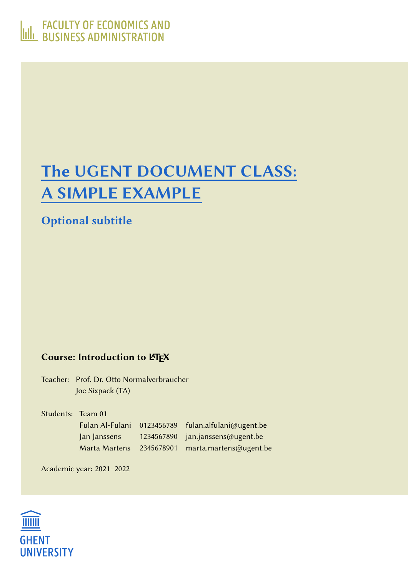# <span id="page-0-0"></span>The UGENT DOCUMENT CLASS: A SIMPLE EXAMPLE

Optional subtitle

#### Course: Introduction to LATEX

Teacher: Prof. Dr. Otto Normalverbraucher Joe Sixpack (TA)

| Students: Team 01 |              |                                                    |
|-------------------|--------------|----------------------------------------------------|
|                   |              | Fulan Al-Fulani 0123456789 fulan.alfulani@ugent.be |
|                   | Jan Janssens | 1234567890 jan.janssens@ugent.be                   |
|                   |              | Marta Martens 2345678901 marta.martens@ugent.be    |

Academic year: 2021–2022

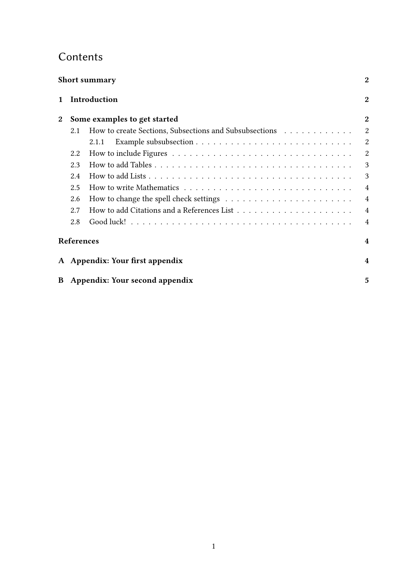## **Contents**

|                | <b>Short summary</b> |                                                        |                         |
|----------------|----------------------|--------------------------------------------------------|-------------------------|
| 1              |                      | Introduction                                           | $\mathbf{2}$            |
| $\overline{2}$ |                      | Some examples to get started                           | $\mathbf{2}$            |
|                | 2.1                  | How to create Sections, Subsections and Subsubsections | $\overline{2}$          |
|                |                      | 2.1.1                                                  | $\overline{2}$          |
|                | 2.2                  |                                                        | $\overline{2}$          |
|                | 2.3                  |                                                        | 3                       |
|                | 2.4                  |                                                        | 3                       |
|                | 2.5                  |                                                        | $\overline{4}$          |
|                | 2.6                  |                                                        | $\overline{4}$          |
|                | 2.7                  |                                                        | $\overline{4}$          |
|                | 2.8                  |                                                        | $\overline{4}$          |
|                | <b>References</b>    |                                                        | $\overline{\mathbf{4}}$ |
|                |                      | A Appendix: Your first appendix                        | $\overline{\mathbf{4}}$ |
| B              |                      | Appendix: Your second appendix                         | 5                       |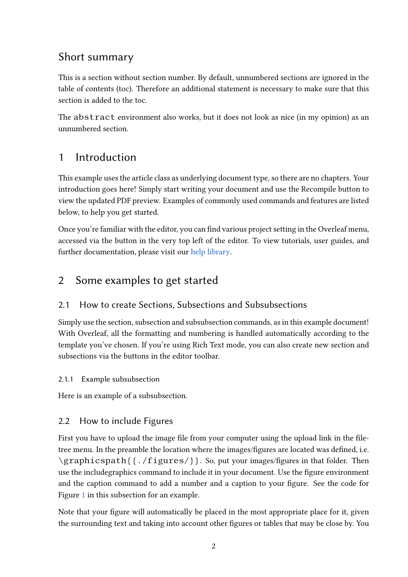## Short summary

This is a section without section number. By default, unnumbered sections are ignored in the table of contents (toc). Therefore an additional statement is necessary to make sure that this section is added to the toc.

The abstract environment also works, but it does not look as nice (in my opinion) as an unnumbered section.

## <span id="page-2-0"></span>1 Introduction

This example uses the article class as underlying document type, so there are no chapters. Your introduction goes here! Simply start writing your document and use the Recompile button to view the updated PDF preview. Examples of commonly used commands and features are listed below, to help you get started.

Once you're familiar with the editor, you can find various project setting in the Overleaf menu, accessed via the button in the very top left of the editor. To view tutorials, user guides, and further documentation, please visit our [help library.](https://www.overleaf.com/learn)

## <span id="page-2-1"></span>2 Some examples to get started

#### <span id="page-2-2"></span>2.1 How to create Sections, Subsections and Subsubsections

Simply use the section, subsection and subsubsection commands, as in this example document! With Overleaf, all the formatting and numbering is handled automatically according to the template you've chosen. If you're using Rich Text mode, you can also create new section and subsections via the buttons in the editor toolbar.

#### <span id="page-2-3"></span>2.1.1 Example subsubsection

Here is an example of a subsubsection.

#### <span id="page-2-4"></span>2.2 How to include Figures

First you have to upload the image file from your computer using the upload link in the filetree menu. In the preamble the location where the images/figures are located was defined, i.e. \graphicspath{{./figures/}}. So, put your images/figures in that folder. Then use the includegraphics command to include it in your document. Use the figure environment and the caption command to add a number and a caption to your figure. See the code for Figure [1](#page-3-2) in this subsection for an example.

Note that your figure will automatically be placed in the most appropriate place for it, given the surrounding text and taking into account other figures or tables that may be close by. You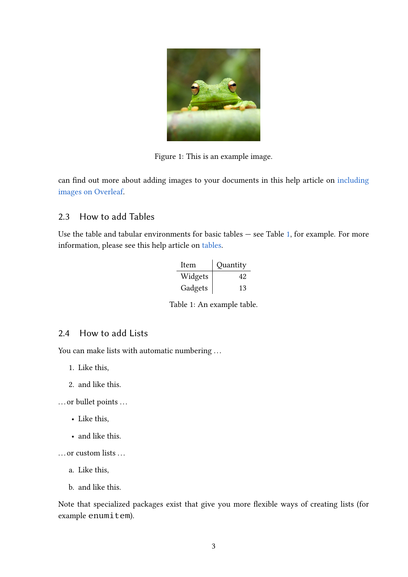<span id="page-3-2"></span>

Figure 1: This is an example image.

can find out more about adding images to your documents in this help article on [including](https://www.overleaf.com/learn/how-to/Including_images_on_Overleaf) [images on Overleaf.](https://www.overleaf.com/learn/how-to/Including_images_on_Overleaf)

#### <span id="page-3-0"></span>2.3 How to add Tables

Use the table and tabular environments for basic tables — see Table [1,](#page-3-3) for example. For more information, please see this help article on [tables.](https://www.overleaf.com/learn/latex/tables)

| Item    | Quantity |
|---------|----------|
| Widgets | 42       |
| Gadgets | 13       |

<span id="page-3-3"></span>Table 1: An example table.

#### <span id="page-3-1"></span>2.4 How to add Lists

You can make lists with automatic numbering ...

- 1. Like this,
- 2. and like this.

... or bullet points ...

- Like this,
- and like this.

... or custom lists ...

- a. Like this,
- b. and like this.

Note that specialized packages exist that give you more flexible ways of creating lists (for example enumitem).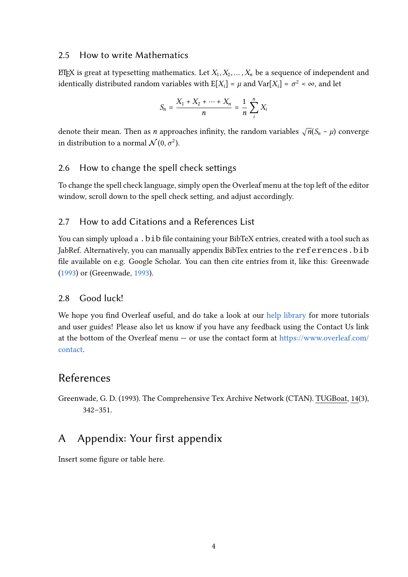#### <span id="page-4-0"></span>2.5 How to write Mathematics

EIFX is great at typesetting mathematics. Let  $X_1, X_2, ..., X_n$  be a sequence of independent and identically distributed random variables with  $E[X_i] = \mu$  and  $Var[X_i] = \sigma^2 < \infty$ , and let

$$
S_n = \frac{X_1 + X_2 + \dots + X_n}{n} = \frac{1}{n} \sum_{i=1}^{n} X_i
$$

denote their mean. Then as *n* approaches infinity, the random variables  $\sqrt{n}(S_n - \mu)$  converge in distribution to a normal  $\mathcal{N}(0, \sigma^2)$ .

#### <span id="page-4-1"></span>2.6 How to change the spell check settings

To change the spell check language, simply open the Overleaf menu at the top left of the editor window, scroll down to the spell check setting, and adjust accordingly.

#### <span id="page-4-2"></span>2.7 How to add Citations and a References List

You can simply upload a . bib file containing your BibTeX entries, created with a tool such as JabRef. Alternatively, you can manually appendix BibTex entries to the references. bib file available on e.g. Google Scholar. You can then cite entries from it, like this: Greenwade [\(1993\)](#page-4-5) or (Greenwade, [1993\)](#page-4-5).

#### <span id="page-4-3"></span>2.8 Good luck!

We hope you find Overleaf useful, and do take a look at our [help library](https://www.overleaf.com/learn) for more tutorials and user guides! Please also let us know if you have any feedback using the Contact Us link at the bottom of the Overleaf menu  $-$  or use the contact form at [https://www.overleaf.com/](https://www.overleaf.com/contact) [contact.](https://www.overleaf.com/contact)

#### References

<span id="page-4-5"></span>Greenwade, G. D. (1993). The Comprehensive Tex Archive Network (CTAN). TUGBoat, 14(3), 342–351.

### <span id="page-4-4"></span>A Appendix: Your first appendix

Insert some figure or table here.